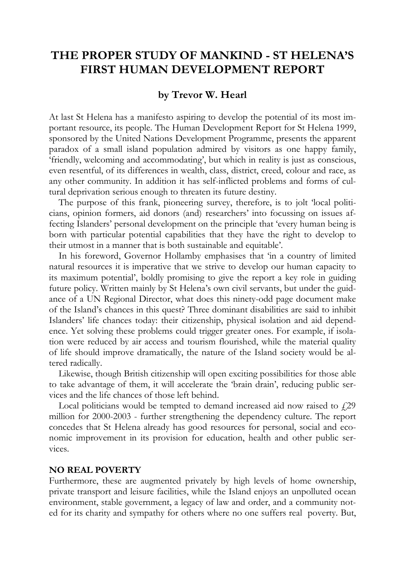# **THE PROPER STUDY OF MANKIND - ST HELENA'S FIRST HUMAN DEVELOPMENT REPORT**

### **by Trevor W. Hearl**

At last St Helena has a manifesto aspiring to develop the potential of its most important resource, its people. The Human Development Report for St Helena 1999, sponsored by the United Nations Development Programme, presents the apparent paradox of a small island population admired by visitors as one happy family, 'friendly, welcoming and accommodating', but which in reality is just as conscious, even resentful, of its differences in wealth, class, district, creed, colour and race, as any other community. In addition it has self-inflicted problems and forms of cultural deprivation serious enough to threaten its future destiny.

The purpose of this frank, pioneering survey, therefore, is to jolt 'local politicians, opinion formers, aid donors (and) researchers' into focussing on issues affecting Islanders' personal development on the principle that 'every human being is born with particular potential capabilities that they have the right to develop to their utmost in a manner that is both sustainable and equitable'.

In his foreword, Governor Hollamby emphasises that 'in a country of limited natural resources it is imperative that we strive to develop our human capacity to its maximum potential', boldly promising to give the report a key role in guiding future policy. Written mainly by St Helena's own civil servants, but under the guidance of a UN Regional Director, what does this ninety-odd page document make of the Island's chances in this quest? Three dominant disabilities are said to inhibit Islanders' life chances today: their citizenship, physical isolation and aid dependence. Yet solving these problems could trigger greater ones. For example, if isolation were reduced by air access and tourism flourished, while the material quality of life should improve dramatically, the nature of the Island society would be altered radically.

Likewise, though British citizenship will open exciting possibilities for those able to take advantage of them, it will accelerate the 'brain drain', reducing public services and the life chances of those left behind.

Local politicians would be tempted to demand increased aid now raised to  $f29$ million for 2000-2003 - further strengthening the dependency culture. The report concedes that St Helena already has good resources for personal, social and economic improvement in its provision for education, health and other public services.

#### **NO REAL POVERTY**

Furthermore, these are augmented privately by high levels of home ownership, private transport and leisure facilities, while the Island enjoys an unpolluted ocean environment, stable government, a legacy of law and order, and a community noted for its charity and sympathy for others where no one suffers real poverty. But,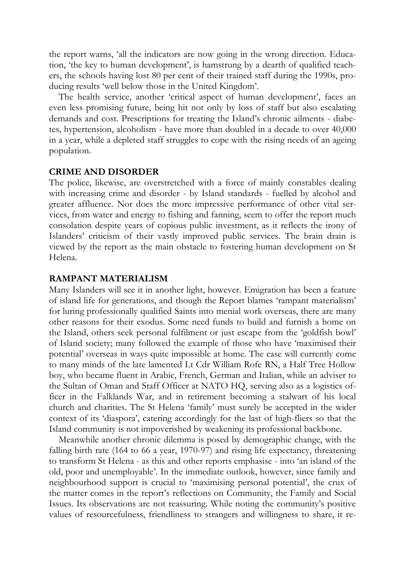the report warns, 'all the indicators are now going in the wrong direction. Education, 'the key to human development', is hamstrung by a dearth of qualified teachers, the schools having lost 80 per cent of their trained staff during the 1990s, producing results 'well below those in the United Kingdom'.

The health service, another 'critical aspect of human development', faces an even less promising future, being hit not only by loss of staff but also escalating demands and cost. Prescriptions for treating the Island's chronic ailments - diabetes, hypertension, alcoholism - have more than doubled in a decade to over 40,000 in a year, while a depleted staff struggles to cope with the rising needs of an ageing population.

#### **CRIME AND DISORDER**

The police, likewise, are overstretched with a force of mainly constables dealing with increasing crime and disorder - by Island standards - fuelled by alcohol and greater affluence. Nor does the more impressive performance of other vital services, from water and energy to fishing and fanning, seem to offer the report much consolation despite years of copious public investment, as it reflects the irony of Islanders' criticism of their vastly improved public services. The brain drain is viewed by the report as the main obstacle to fostering human development on St Helena.

#### **RAMPANT MATERIALISM**

Many Islanders will see it in another light, however. Emigration has been a feature of island life for generations, and though the Report blames 'rampant materialism' for luring professionally qualified Saints into menial work overseas, there are many other reasons for their exodus. Some need funds to build and furnish a home on the Island, others seek personal fulfilment or just escape from the 'goldfish bowl' of Island society; many followed the example of those who have 'maximised their potential' overseas in ways quite impossible at home. The case will currently come to many minds of the late lamented Lt Cdr William Rofe RN, a Half Tree Hollow boy, who became fluent in Arabic, French, German and Italian, while an adviser to the Sultan of Oman and Staff Officer at NATO HQ, serving also as a logistics officer in the Falklands War, and in retirement becoming a stalwart of his local church and charities. The St Helena 'family' must surely be accepted in the wider context of its 'diaspora', catering accordingly for the last of high-fliers so that the Island community is not impoverished by weakening its professional backbone.

Meanwhile another chronic dilemma is posed by demographic change, with the falling birth rate (164 to 66 a year, 1970-97) and rising life expectancy, threatening to transform St Helena - as this and other reports emphasise - into 'an island of the old, poor and unemployable'. In the immediate outlook, however, since family and neighbourhood support is crucial to 'maximising personal potential', the crux of the matter comes in the report's reflections on Community, the Family and Social Issues. Its observations are not reassuring. While noting the community's positive values of resourcefulness, friendliness to strangers and willingness to share, it re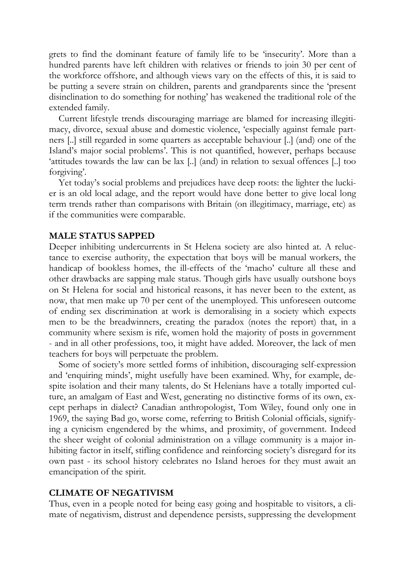grets to find the dominant feature of family life to be 'insecurity'. More than a hundred parents have left children with relatives or friends to join 30 per cent of the workforce offshore, and although views vary on the effects of this, it is said to be putting a severe strain on children, parents and grandparents since the 'present disinclination to do something for nothing' has weakened the traditional role of the extended family.

Current lifestyle trends discouraging marriage are blamed for increasing illegitimacy, divorce, sexual abuse and domestic violence, 'especially against female partners [..] still regarded in some quarters as acceptable behaviour [..] (and) one of the Island's major social problems'. This is not quantified, however, perhaps because 'attitudes towards the law can be lax [..] (and) in relation to sexual offences [..] too forgiving'.

Yet today's social problems and prejudices have deep roots: the lighter the luckier is an old local adage, and the report would have done better to give local long term trends rather than comparisons with Britain (on illegitimacy, marriage, etc) as if the communities were comparable.

#### **MALE STATUS SAPPED**

Deeper inhibiting undercurrents in St Helena society are also hinted at. A reluctance to exercise authority, the expectation that boys will be manual workers, the handicap of bookless homes, the ill-effects of the 'macho' culture all these and other drawbacks are sapping male status. Though girls have usually outshone boys on St Helena for social and historical reasons, it has never been to the extent, as now, that men make up 70 per cent of the unemployed. This unforeseen outcome of ending sex discrimination at work is demoralising in a society which expects men to be the breadwinners, creating the paradox (notes the report) that, in a community where sexism is rife, women hold the majority of posts in government - and in all other professions, too, it might have added. Moreover, the lack of men teachers for boys will perpetuate the problem.

Some of society's more settled forms of inhibition, discouraging self-expression and 'enquiring minds', might usefully have been examined. Why, for example, despite isolation and their many talents, do St Helenians have a totally imported culture, an amalgam of East and West, generating no distinctive forms of its own, except perhaps in dialect? Canadian anthropologist, Tom Wiley, found only one in 1969, the saying Bad go, worse come, referring to British Colonial officials, signifying a cynicism engendered by the whims, and proximity, of government. Indeed the sheer weight of colonial administration on a village community is a major inhibiting factor in itself, stifling confidence and reinforcing society's disregard for its own past - its school history celebrates no Island heroes for they must await an emancipation of the spirit.

#### **CLIMATE OF NEGATIVISM**

Thus, even in a people noted for being easy going and hospitable to visitors, a climate of negativism, distrust and dependence persists, suppressing the development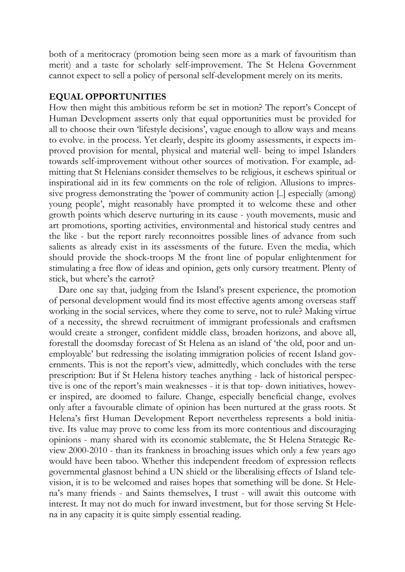both of a meritocracy (promotion being seen more as a mark of favouritism than merit) and a taste for scholarly self-improvement. The St Helena Government cannot expect to sell a policy of personal self-development merely on its merits.

### **EQUAL OPPORTUNITIES**

How then might this ambitious reform be set in motion? The report's Concept of Human Development asserts only that equal opportunities must be provided for all to choose their own 'lifestyle decisions', vague enough to allow ways and means to evolve. in the process. Yet clearly, despite its gloomy assessments, it expects improved provision for mental, physical and material well- being to impel Islanders towards self-improvement without other sources of motivation. For example, admitting that St Helenians consider themselves to be religious, it eschews spiritual or inspirational aid in its few comments on the role of religion. Allusions to impressive progress demonstrating the 'power of community action [..] especially (among) young people', might reasonably have prompted it to welcome these and other growth points which deserve nurturing in its cause - youth movements, music and art promotions, sporting activities, environmental and historical study centres and the like - but the report rarely reconnoitres possible lines of advance from such salients as already exist in its assessments of the future. Even the media, which should provide the shock-troops M the front line of popular enlightenment for stimulating a free flow of ideas and opinion, gets only cursory treatment. Plenty of stick, but where's the carrot?

Dare one say that, judging from the Island's present experience, the promotion of personal development would find its most effective agents among overseas staff working in the social services, where they come to serve, not to rule? Making virtue of a necessity, the shrewd recruitment of immigrant professionals and craftsmen would create a stronger, confident middle class, broaden horizons, and above all, forestall the doomsday forecast of St Helena as an island of 'the old, poor and unemployable' but redressing the isolating immigration policies of recent Island governments. This is not the report's view, admittedly, which concludes with the terse prescription: But if St Helena history teaches anything - lack of historical perspective is one of the report's main weaknesses - it is that top- down initiatives, however inspired, are doomed to failure. Change, especially beneficial change, evolves only after a favourable climate of opinion has been nurtured at the grass roots. St Helena's first Human Development Report nevertheless represents a bold initiative. Its value may prove to come less from its more contentious and discouraging opinions - many shared with its economic stablemate, the St Helena Strategic Review 2000-2010 - than its frankness in broaching issues which only a few years ago would have been taboo. Whether this independent freedom of expression reflects governmental glasnost behind a UN shield or the liberalising effects of Island television, it is to be welcomed and raises hopes that something will be done. St Helena's many friends - and Saints themselves, I trust - will await this outcome with interest. It may not do much for inward investment, but for those serving St Helena in any capacity it is quite simply essential reading.